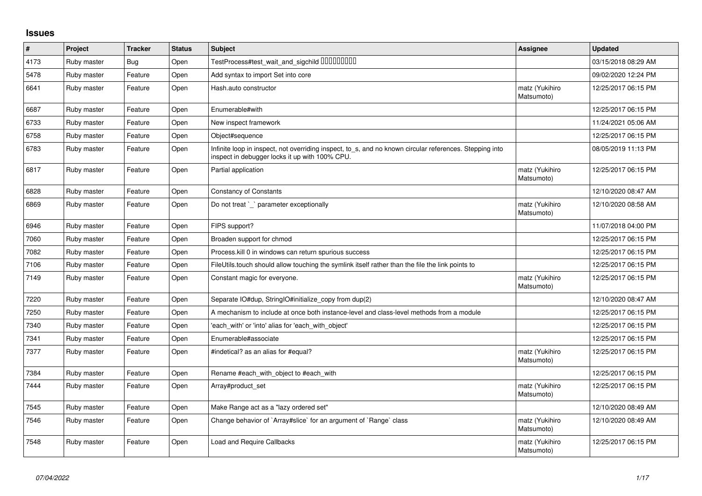## **Issues**

| $\vert$ # | Project     | <b>Tracker</b> | <b>Status</b> | <b>Subject</b>                                                                                                                                            | Assignee                     | <b>Updated</b>      |
|-----------|-------------|----------------|---------------|-----------------------------------------------------------------------------------------------------------------------------------------------------------|------------------------------|---------------------|
| 4173      | Ruby master | <b>Bug</b>     | Open          | TestProcess#test_wait_and_sigchild DDDDDDDD                                                                                                               |                              | 03/15/2018 08:29 AM |
| 5478      | Ruby master | Feature        | Open          | Add syntax to import Set into core                                                                                                                        |                              | 09/02/2020 12:24 PM |
| 6641      | Ruby master | Feature        | Open          | Hash.auto constructor                                                                                                                                     | matz (Yukihiro<br>Matsumoto) | 12/25/2017 06:15 PM |
| 6687      | Ruby master | Feature        | Open          | Enumerable#with                                                                                                                                           |                              | 12/25/2017 06:15 PM |
| 6733      | Ruby master | Feature        | Open          | New inspect framework                                                                                                                                     |                              | 11/24/2021 05:06 AM |
| 6758      | Ruby master | Feature        | Open          | Object#sequence                                                                                                                                           |                              | 12/25/2017 06:15 PM |
| 6783      | Ruby master | Feature        | Open          | Infinite loop in inspect, not overriding inspect, to_s, and no known circular references. Stepping into<br>inspect in debugger locks it up with 100% CPU. |                              | 08/05/2019 11:13 PM |
| 6817      | Ruby master | Feature        | Open          | Partial application                                                                                                                                       | matz (Yukihiro<br>Matsumoto) | 12/25/2017 06:15 PM |
| 6828      | Ruby master | Feature        | Open          | <b>Constancy of Constants</b>                                                                                                                             |                              | 12/10/2020 08:47 AM |
| 6869      | Ruby master | Feature        | Open          | Do not treat `_` parameter exceptionally                                                                                                                  | matz (Yukihiro<br>Matsumoto) | 12/10/2020 08:58 AM |
| 6946      | Ruby master | Feature        | Open          | FIPS support?                                                                                                                                             |                              | 11/07/2018 04:00 PM |
| 7060      | Ruby master | Feature        | Open          | Broaden support for chmod                                                                                                                                 |                              | 12/25/2017 06:15 PM |
| 7082      | Ruby master | Feature        | Open          | Process. kill 0 in windows can return spurious success                                                                                                    |                              | 12/25/2017 06:15 PM |
| 7106      | Ruby master | Feature        | Open          | FileUtils.touch should allow touching the symlink itself rather than the file the link points to                                                          |                              | 12/25/2017 06:15 PM |
| 7149      | Ruby master | Feature        | Open          | Constant magic for everyone.                                                                                                                              | matz (Yukihiro<br>Matsumoto) | 12/25/2017 06:15 PM |
| 7220      | Ruby master | Feature        | Open          | Separate IO#dup, StringIO#initialize_copy from dup(2)                                                                                                     |                              | 12/10/2020 08:47 AM |
| 7250      | Ruby master | Feature        | Open          | A mechanism to include at once both instance-level and class-level methods from a module                                                                  |                              | 12/25/2017 06:15 PM |
| 7340      | Ruby master | Feature        | Open          | 'each_with' or 'into' alias for 'each_with_object'                                                                                                        |                              | 12/25/2017 06:15 PM |
| 7341      | Ruby master | Feature        | Open          | Enumerable#associate                                                                                                                                      |                              | 12/25/2017 06:15 PM |
| 7377      | Ruby master | Feature        | Open          | #indetical? as an alias for #equal?                                                                                                                       | matz (Yukihiro<br>Matsumoto) | 12/25/2017 06:15 PM |
| 7384      | Ruby master | Feature        | Open          | Rename #each with object to #each with                                                                                                                    |                              | 12/25/2017 06:15 PM |
| 7444      | Ruby master | Feature        | Open          | Array#product set                                                                                                                                         | matz (Yukihiro<br>Matsumoto) | 12/25/2017 06:15 PM |
| 7545      | Ruby master | Feature        | Open          | Make Range act as a "lazy ordered set"                                                                                                                    |                              | 12/10/2020 08:49 AM |
| 7546      | Ruby master | Feature        | Open          | Change behavior of `Array#slice` for an argument of `Range` class                                                                                         | matz (Yukihiro<br>Matsumoto) | 12/10/2020 08:49 AM |
| 7548      | Ruby master | Feature        | Open          | Load and Require Callbacks                                                                                                                                | matz (Yukihiro<br>Matsumoto) | 12/25/2017 06:15 PM |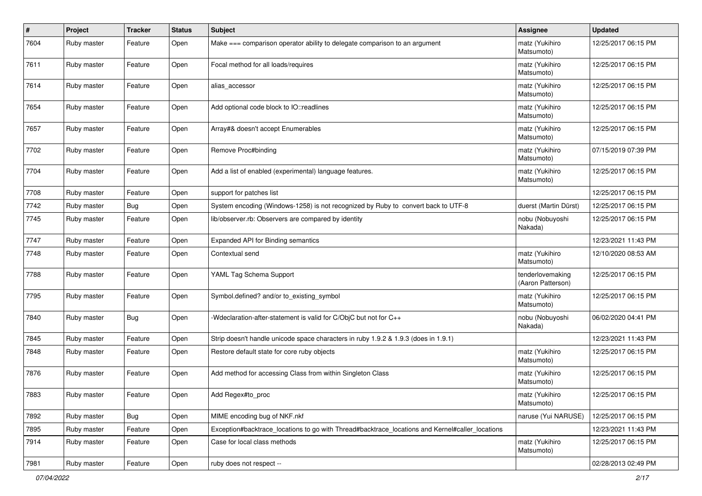| $\sharp$ | Project     | <b>Tracker</b> | <b>Status</b> | Subject                                                                                         | Assignee                              | <b>Updated</b>      |
|----------|-------------|----------------|---------------|-------------------------------------------------------------------------------------------------|---------------------------------------|---------------------|
| 7604     | Ruby master | Feature        | Open          | Make === comparison operator ability to delegate comparison to an argument                      | matz (Yukihiro<br>Matsumoto)          | 12/25/2017 06:15 PM |
| 7611     | Ruby master | Feature        | Open          | Focal method for all loads/requires                                                             | matz (Yukihiro<br>Matsumoto)          | 12/25/2017 06:15 PM |
| 7614     | Ruby master | Feature        | Open          | alias_accessor                                                                                  | matz (Yukihiro<br>Matsumoto)          | 12/25/2017 06:15 PM |
| 7654     | Ruby master | Feature        | Open          | Add optional code block to IO::readlines                                                        | matz (Yukihiro<br>Matsumoto)          | 12/25/2017 06:15 PM |
| 7657     | Ruby master | Feature        | Open          | Array#& doesn't accept Enumerables                                                              | matz (Yukihiro<br>Matsumoto)          | 12/25/2017 06:15 PM |
| 7702     | Ruby master | Feature        | Open          | Remove Proc#binding                                                                             | matz (Yukihiro<br>Matsumoto)          | 07/15/2019 07:39 PM |
| 7704     | Ruby master | Feature        | Open          | Add a list of enabled (experimental) language features.                                         | matz (Yukihiro<br>Matsumoto)          | 12/25/2017 06:15 PM |
| 7708     | Ruby master | Feature        | Open          | support for patches list                                                                        |                                       | 12/25/2017 06:15 PM |
| 7742     | Ruby master | Bug            | Open          | System encoding (Windows-1258) is not recognized by Ruby to convert back to UTF-8               | duerst (Martin Dürst)                 | 12/25/2017 06:15 PM |
| 7745     | Ruby master | Feature        | Open          | lib/observer.rb: Observers are compared by identity                                             | nobu (Nobuyoshi<br>Nakada)            | 12/25/2017 06:15 PM |
| 7747     | Ruby master | Feature        | Open          | Expanded API for Binding semantics                                                              |                                       | 12/23/2021 11:43 PM |
| 7748     | Ruby master | Feature        | Open          | Contextual send                                                                                 | matz (Yukihiro<br>Matsumoto)          | 12/10/2020 08:53 AM |
| 7788     | Ruby master | Feature        | Open          | YAML Tag Schema Support                                                                         | tenderlovemaking<br>(Aaron Patterson) | 12/25/2017 06:15 PM |
| 7795     | Ruby master | Feature        | Open          | Symbol.defined? and/or to_existing_symbol                                                       | matz (Yukihiro<br>Matsumoto)          | 12/25/2017 06:15 PM |
| 7840     | Ruby master | Bug            | Open          | -Wdeclaration-after-statement is valid for C/ObjC but not for C++                               | nobu (Nobuyoshi<br>Nakada)            | 06/02/2020 04:41 PM |
| 7845     | Ruby master | Feature        | Open          | Strip doesn't handle unicode space characters in ruby 1.9.2 & 1.9.3 (does in 1.9.1)             |                                       | 12/23/2021 11:43 PM |
| 7848     | Ruby master | Feature        | Open          | Restore default state for core ruby objects                                                     | matz (Yukihiro<br>Matsumoto)          | 12/25/2017 06:15 PM |
| 7876     | Ruby master | Feature        | Open          | Add method for accessing Class from within Singleton Class                                      | matz (Yukihiro<br>Matsumoto)          | 12/25/2017 06:15 PM |
| 7883     | Ruby master | Feature        | Open          | Add Regex#to_proc                                                                               | matz (Yukihiro<br>Matsumoto)          | 12/25/2017 06:15 PM |
| 7892     | Ruby master | Bug            | Open          | MIME encoding bug of NKF.nkf                                                                    | naruse (Yui NARUSE)                   | 12/25/2017 06:15 PM |
| 7895     | Ruby master | Feature        | Open          | Exception#backtrace_locations to go with Thread#backtrace_locations and Kernel#caller_locations |                                       | 12/23/2021 11:43 PM |
| 7914     | Ruby master | Feature        | Open          | Case for local class methods                                                                    | matz (Yukihiro<br>Matsumoto)          | 12/25/2017 06:15 PM |
| 7981     | Ruby master | Feature        | Open          | ruby does not respect --                                                                        |                                       | 02/28/2013 02:49 PM |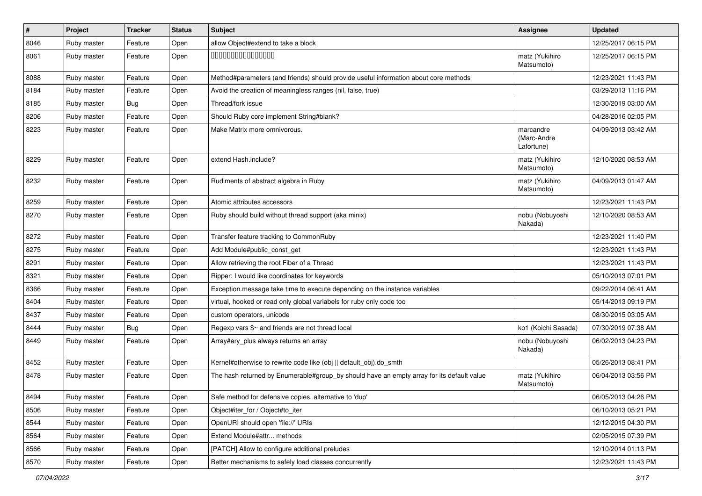| $\vert$ # | Project     | <b>Tracker</b> | <b>Status</b> | <b>Subject</b>                                                                            | <b>Assignee</b>                        | <b>Updated</b>      |
|-----------|-------------|----------------|---------------|-------------------------------------------------------------------------------------------|----------------------------------------|---------------------|
| 8046      | Ruby master | Feature        | Open          | allow Object#extend to take a block                                                       |                                        | 12/25/2017 06:15 PM |
| 8061      | Ruby master | Feature        | Open          | 000000000000000                                                                           | matz (Yukihiro<br>Matsumoto)           | 12/25/2017 06:15 PM |
| 8088      | Ruby master | Feature        | Open          | Method#parameters (and friends) should provide useful information about core methods      |                                        | 12/23/2021 11:43 PM |
| 8184      | Ruby master | Feature        | Open          | Avoid the creation of meaningless ranges (nil, false, true)                               |                                        | 03/29/2013 11:16 PM |
| 8185      | Ruby master | <b>Bug</b>     | Open          | Thread/fork issue                                                                         |                                        | 12/30/2019 03:00 AM |
| 8206      | Ruby master | Feature        | Open          | Should Ruby core implement String#blank?                                                  |                                        | 04/28/2016 02:05 PM |
| 8223      | Ruby master | Feature        | Open          | Make Matrix more omnivorous.                                                              | marcandre<br>(Marc-Andre<br>Lafortune) | 04/09/2013 03:42 AM |
| 8229      | Ruby master | Feature        | Open          | extend Hash.include?                                                                      | matz (Yukihiro<br>Matsumoto)           | 12/10/2020 08:53 AM |
| 8232      | Ruby master | Feature        | Open          | Rudiments of abstract algebra in Ruby                                                     | matz (Yukihiro<br>Matsumoto)           | 04/09/2013 01:47 AM |
| 8259      | Ruby master | Feature        | Open          | Atomic attributes accessors                                                               |                                        | 12/23/2021 11:43 PM |
| 8270      | Ruby master | Feature        | Open          | Ruby should build without thread support (aka minix)                                      | nobu (Nobuyoshi<br>Nakada)             | 12/10/2020 08:53 AM |
| 8272      | Ruby master | Feature        | Open          | Transfer feature tracking to CommonRuby                                                   |                                        | 12/23/2021 11:40 PM |
| 8275      | Ruby master | Feature        | Open          | Add Module#public_const_get                                                               |                                        | 12/23/2021 11:43 PM |
| 8291      | Ruby master | Feature        | Open          | Allow retrieving the root Fiber of a Thread                                               |                                        | 12/23/2021 11:43 PM |
| 8321      | Ruby master | Feature        | Open          | Ripper: I would like coordinates for keywords                                             |                                        | 05/10/2013 07:01 PM |
| 8366      | Ruby master | Feature        | Open          | Exception.message take time to execute depending on the instance variables                |                                        | 09/22/2014 06:41 AM |
| 8404      | Ruby master | Feature        | Open          | virtual, hooked or read only global variabels for ruby only code too                      |                                        | 05/14/2013 09:19 PM |
| 8437      | Ruby master | Feature        | Open          | custom operators, unicode                                                                 |                                        | 08/30/2015 03:05 AM |
| 8444      | Ruby master | Bug            | Open          | Regexp vars \$~ and friends are not thread local                                          | ko1 (Koichi Sasada)                    | 07/30/2019 07:38 AM |
| 8449      | Ruby master | Feature        | Open          | Array#ary_plus always returns an array                                                    | nobu (Nobuyoshi<br>Nakada)             | 06/02/2013 04:23 PM |
| 8452      | Ruby master | Feature        | Open          | Kernel#otherwise to rewrite code like (obj    default_obj).do_smth                        |                                        | 05/26/2013 08:41 PM |
| 8478      | Ruby master | Feature        | Open          | The hash returned by Enumerable#group by should have an empty array for its default value | matz (Yukihiro<br>Matsumoto)           | 06/04/2013 03:56 PM |
| 8494      | Ruby master | Feature        | Open          | Safe method for defensive copies. alternative to 'dup'                                    |                                        | 06/05/2013 04:26 PM |
| 8506      | Ruby master | Feature        | Open          | Object#iter for / Object#to iter                                                          |                                        | 06/10/2013 05:21 PM |
| 8544      | Ruby master | Feature        | Open          | OpenURI should open 'file://' URIs                                                        |                                        | 12/12/2015 04:30 PM |
| 8564      | Ruby master | Feature        | Open          | Extend Module#attr methods                                                                |                                        | 02/05/2015 07:39 PM |
| 8566      | Ruby master | Feature        | Open          | [PATCH] Allow to configure additional preludes                                            |                                        | 12/10/2014 01:13 PM |
| 8570      | Ruby master | Feature        | Open          | Better mechanisms to safely load classes concurrently                                     |                                        | 12/23/2021 11:43 PM |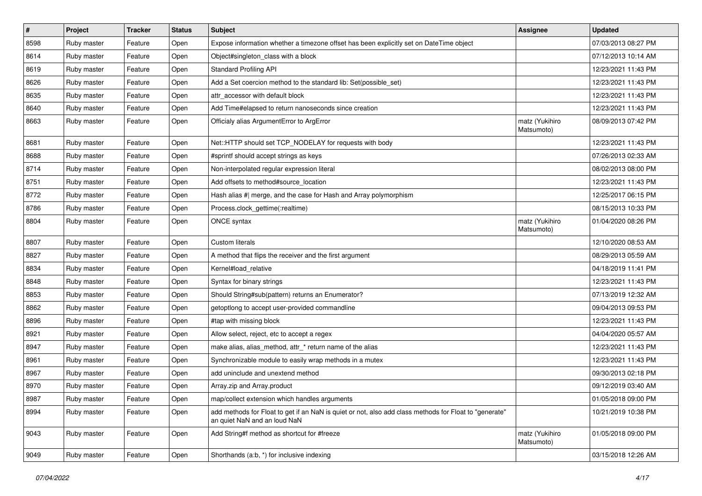| #    | Project     | <b>Tracker</b> | <b>Status</b> | <b>Subject</b>                                                                                                                         | Assignee                     | <b>Updated</b>      |
|------|-------------|----------------|---------------|----------------------------------------------------------------------------------------------------------------------------------------|------------------------------|---------------------|
| 8598 | Ruby master | Feature        | Open          | Expose information whether a timezone offset has been explicitly set on DateTime object                                                |                              | 07/03/2013 08:27 PM |
| 8614 | Ruby master | Feature        | Open          | Object#singleton_class with a block                                                                                                    |                              | 07/12/2013 10:14 AM |
| 8619 | Ruby master | Feature        | Open          | <b>Standard Profiling API</b>                                                                                                          |                              | 12/23/2021 11:43 PM |
| 8626 | Ruby master | Feature        | Open          | Add a Set coercion method to the standard lib: Set(possible_set)                                                                       |                              | 12/23/2021 11:43 PM |
| 8635 | Ruby master | Feature        | Open          | attr accessor with default block                                                                                                       |                              | 12/23/2021 11:43 PM |
| 8640 | Ruby master | Feature        | Open          | Add Time#elapsed to return nanoseconds since creation                                                                                  |                              | 12/23/2021 11:43 PM |
| 8663 | Ruby master | Feature        | Open          | Officialy alias ArgumentError to ArgError                                                                                              | matz (Yukihiro<br>Matsumoto) | 08/09/2013 07:42 PM |
| 8681 | Ruby master | Feature        | Open          | Net::HTTP should set TCP_NODELAY for requests with body                                                                                |                              | 12/23/2021 11:43 PM |
| 8688 | Ruby master | Feature        | Open          | #sprintf should accept strings as keys                                                                                                 |                              | 07/26/2013 02:33 AM |
| 8714 | Ruby master | Feature        | Open          | Non-interpolated regular expression literal                                                                                            |                              | 08/02/2013 08:00 PM |
| 8751 | Ruby master | Feature        | Open          | Add offsets to method#source_location                                                                                                  |                              | 12/23/2021 11:43 PM |
| 8772 | Ruby master | Feature        | Open          | Hash alias #  merge, and the case for Hash and Array polymorphism                                                                      |                              | 12/25/2017 06:15 PM |
| 8786 | Ruby master | Feature        | Open          | Process.clock_gettime(:realtime)                                                                                                       |                              | 08/15/2013 10:33 PM |
| 8804 | Ruby master | Feature        | Open          | ONCE syntax                                                                                                                            | matz (Yukihiro<br>Matsumoto) | 01/04/2020 08:26 PM |
| 8807 | Ruby master | Feature        | Open          | <b>Custom literals</b>                                                                                                                 |                              | 12/10/2020 08:53 AM |
| 8827 | Ruby master | Feature        | Open          | A method that flips the receiver and the first argument                                                                                |                              | 08/29/2013 05:59 AM |
| 8834 | Ruby master | Feature        | Open          | Kernel#load_relative                                                                                                                   |                              | 04/18/2019 11:41 PM |
| 8848 | Ruby master | Feature        | Open          | Syntax for binary strings                                                                                                              |                              | 12/23/2021 11:43 PM |
| 8853 | Ruby master | Feature        | Open          | Should String#sub(pattern) returns an Enumerator?                                                                                      |                              | 07/13/2019 12:32 AM |
| 8862 | Ruby master | Feature        | Open          | getoptlong to accept user-provided commandline                                                                                         |                              | 09/04/2013 09:53 PM |
| 8896 | Ruby master | Feature        | Open          | #tap with missing block                                                                                                                |                              | 12/23/2021 11:43 PM |
| 8921 | Ruby master | Feature        | Open          | Allow select, reject, etc to accept a regex                                                                                            |                              | 04/04/2020 05:57 AM |
| 8947 | Ruby master | Feature        | Open          | make alias, alias_method, attr_* return name of the alias                                                                              |                              | 12/23/2021 11:43 PM |
| 8961 | Ruby master | Feature        | Open          | Synchronizable module to easily wrap methods in a mutex                                                                                |                              | 12/23/2021 11:43 PM |
| 8967 | Ruby master | Feature        | Open          | add uninclude and unextend method                                                                                                      |                              | 09/30/2013 02:18 PM |
| 8970 | Ruby master | Feature        | Open          | Array.zip and Array.product                                                                                                            |                              | 09/12/2019 03:40 AM |
| 8987 | Ruby master | Feature        | Open          | map/collect extension which handles arguments                                                                                          |                              | 01/05/2018 09:00 PM |
| 8994 | Ruby master | Feature        | Open          | add methods for Float to get if an NaN is quiet or not, also add class methods for Float to "generate"<br>an quiet NaN and an loud NaN |                              | 10/21/2019 10:38 PM |
| 9043 | Ruby master | Feature        | Open          | Add String#f method as shortcut for #freeze                                                                                            | matz (Yukihiro<br>Matsumoto) | 01/05/2018 09:00 PM |
| 9049 | Ruby master | Feature        | Open          | Shorthands (a:b, *) for inclusive indexing                                                                                             |                              | 03/15/2018 12:26 AM |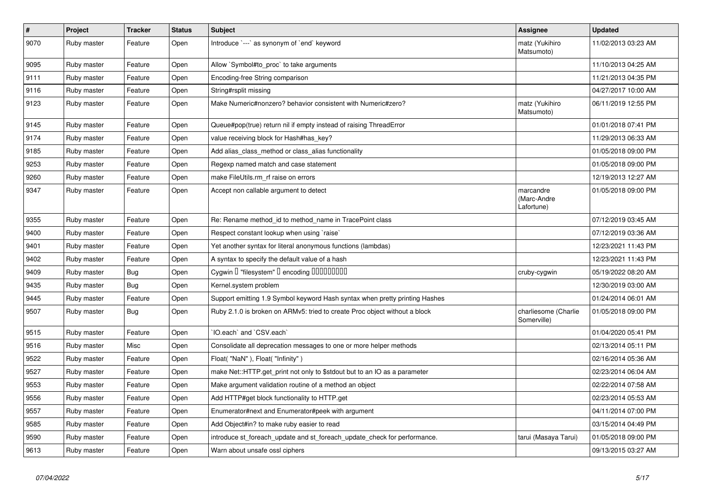| $\pmb{\#}$ | Project     | <b>Tracker</b> | <b>Status</b> | <b>Subject</b>                                                              | Assignee                               | <b>Updated</b>      |
|------------|-------------|----------------|---------------|-----------------------------------------------------------------------------|----------------------------------------|---------------------|
| 9070       | Ruby master | Feature        | Open          | Introduce `---` as synonym of `end` keyword                                 | matz (Yukihiro<br>Matsumoto)           | 11/02/2013 03:23 AM |
| 9095       | Ruby master | Feature        | Open          | Allow `Symbol#to proc` to take arguments                                    |                                        | 11/10/2013 04:25 AM |
| 9111       | Ruby master | Feature        | Open          | Encoding-free String comparison                                             |                                        | 11/21/2013 04:35 PM |
| 9116       | Ruby master | Feature        | Open          | String#rsplit missing                                                       |                                        | 04/27/2017 10:00 AM |
| 9123       | Ruby master | Feature        | Open          | Make Numeric#nonzero? behavior consistent with Numeric#zero?                | matz (Yukihiro<br>Matsumoto)           | 06/11/2019 12:55 PM |
| 9145       | Ruby master | Feature        | Open          | Queue#pop(true) return nil if empty instead of raising ThreadError          |                                        | 01/01/2018 07:41 PM |
| 9174       | Ruby master | Feature        | Open          | value receiving block for Hash#has_key?                                     |                                        | 11/29/2013 06:33 AM |
| 9185       | Ruby master | Feature        | Open          | Add alias class method or class alias functionality                         |                                        | 01/05/2018 09:00 PM |
| 9253       | Ruby master | Feature        | Open          | Regexp named match and case statement                                       |                                        | 01/05/2018 09:00 PM |
| 9260       | Ruby master | Feature        | Open          | make FileUtils.rm rf raise on errors                                        |                                        | 12/19/2013 12:27 AM |
| 9347       | Ruby master | Feature        | Open          | Accept non callable argument to detect                                      | marcandre<br>(Marc-Andre<br>Lafortune) | 01/05/2018 09:00 PM |
| 9355       | Ruby master | Feature        | Open          | Re: Rename method_id to method_name in TracePoint class                     |                                        | 07/12/2019 03:45 AM |
| 9400       | Ruby master | Feature        | Open          | Respect constant lookup when using `raise`                                  |                                        | 07/12/2019 03:36 AM |
| 9401       | Ruby master | Feature        | Open          | Yet another syntax for literal anonymous functions (lambdas)                |                                        | 12/23/2021 11:43 PM |
| 9402       | Ruby master | Feature        | Open          | A syntax to specify the default value of a hash                             |                                        | 12/23/2021 11:43 PM |
| 9409       | Ruby master | <b>Bug</b>     | Open          | Cygwin I "filesystem" I encoding IIIIIIIIIIIII                              | cruby-cygwin                           | 05/19/2022 08:20 AM |
| 9435       | Ruby master | Bug            | Open          | Kernel.system problem                                                       |                                        | 12/30/2019 03:00 AM |
| 9445       | Ruby master | Feature        | Open          | Support emitting 1.9 Symbol keyword Hash syntax when pretty printing Hashes |                                        | 01/24/2014 06:01 AM |
| 9507       | Ruby master | <b>Bug</b>     | Open          | Ruby 2.1.0 is broken on ARMv5: tried to create Proc object without a block  | charliesome (Charlie<br>Somerville)    | 01/05/2018 09:00 PM |
| 9515       | Ruby master | Feature        | Open          | IO.each` and `CSV.each`                                                     |                                        | 01/04/2020 05:41 PM |
| 9516       | Ruby master | Misc           | Open          | Consolidate all deprecation messages to one or more helper methods          |                                        | 02/13/2014 05:11 PM |
| 9522       | Ruby master | Feature        | Open          | Float("NaN"), Float("Infinity")                                             |                                        | 02/16/2014 05:36 AM |
| 9527       | Ruby master | Feature        | Open          | make Net::HTTP.get_print not only to \$stdout but to an IO as a parameter   |                                        | 02/23/2014 06:04 AM |
| 9553       | Ruby master | Feature        | Open          | Make argument validation routine of a method an object                      |                                        | 02/22/2014 07:58 AM |
| 9556       | Ruby master | Feature        | Open          | Add HTTP#get block functionality to HTTP.get                                |                                        | 02/23/2014 05:53 AM |
| 9557       | Ruby master | Feature        | Open          | Enumerator#next and Enumerator#peek with argument                           |                                        | 04/11/2014 07:00 PM |
| 9585       | Ruby master | Feature        | Open          | Add Object#in? to make ruby easier to read                                  |                                        | 03/15/2014 04:49 PM |
| 9590       | Ruby master | Feature        | Open          | introduce st foreach update and st foreach update check for performance.    | tarui (Masaya Tarui)                   | 01/05/2018 09:00 PM |
| 9613       | Ruby master | Feature        | Open          | Warn about unsafe ossl ciphers                                              |                                        | 09/13/2015 03:27 AM |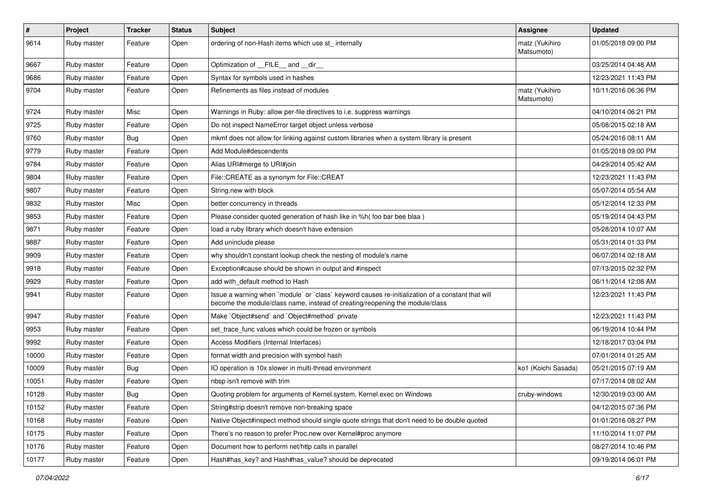| $\sharp$ | Project     | <b>Tracker</b> | <b>Status</b> | <b>Subject</b>                                                                                                                                                                    | <b>Assignee</b>              | <b>Updated</b>      |
|----------|-------------|----------------|---------------|-----------------------------------------------------------------------------------------------------------------------------------------------------------------------------------|------------------------------|---------------------|
| 9614     | Ruby master | Feature        | Open          | ordering of non-Hash items which use st_ internally                                                                                                                               | matz (Yukihiro<br>Matsumoto) | 01/05/2018 09:00 PM |
| 9667     | Ruby master | Feature        | Open          | Optimization of FILE and dir                                                                                                                                                      |                              | 03/25/2014 04:48 AM |
| 9686     | Ruby master | Feature        | Open          | Syntax for symbols used in hashes                                                                                                                                                 |                              | 12/23/2021 11:43 PM |
| 9704     | Ruby master | Feature        | Open          | Refinements as files instead of modules                                                                                                                                           | matz (Yukihiro<br>Matsumoto) | 10/11/2016 06:36 PM |
| 9724     | Ruby master | Misc           | Open          | Warnings in Ruby: allow per-file directives to i.e. suppress warnings                                                                                                             |                              | 04/10/2014 06:21 PM |
| 9725     | Ruby master | Feature        | Open          | Do not inspect NameError target object unless verbose                                                                                                                             |                              | 05/08/2015 02:18 AM |
| 9760     | Ruby master | Bug            | Open          | mkmf does not allow for linking against custom libraries when a system library is present                                                                                         |                              | 05/24/2016 08:11 AM |
| 9779     | Ruby master | Feature        | Open          | Add Module#descendents                                                                                                                                                            |                              | 01/05/2018 09:00 PM |
| 9784     | Ruby master | Feature        | Open          | Alias URI#merge to URI#join                                                                                                                                                       |                              | 04/29/2014 05:42 AM |
| 9804     | Ruby master | Feature        | Open          | File::CREATE as a synonym for File::CREAT                                                                                                                                         |                              | 12/23/2021 11:43 PM |
| 9807     | Ruby master | Feature        | Open          | String.new with block                                                                                                                                                             |                              | 05/07/2014 05:54 AM |
| 9832     | Ruby master | Misc           | Open          | better concurrency in threads                                                                                                                                                     |                              | 05/12/2014 12:33 PM |
| 9853     | Ruby master | Feature        | Open          | Please consider quoted generation of hash like in %h( foo bar bee blaa)                                                                                                           |                              | 05/19/2014 04:43 PM |
| 9871     | Ruby master | Feature        | Open          | load a ruby library which doesn't have extension                                                                                                                                  |                              | 05/28/2014 10:07 AM |
| 9887     | Ruby master | Feature        | Open          | Add uninclude please                                                                                                                                                              |                              | 05/31/2014 01:33 PM |
| 9909     | Ruby master | Feature        | Open          | why shouldn't constant lookup check the nesting of module's name                                                                                                                  |                              | 06/07/2014 02:18 AM |
| 9918     | Ruby master | Feature        | Open          | Exception#cause should be shown in output and #inspect                                                                                                                            |                              | 07/13/2015 02:32 PM |
| 9929     | Ruby master | Feature        | Open          | add with default method to Hash                                                                                                                                                   |                              | 06/11/2014 12:08 AM |
| 9941     | Ruby master | Feature        | Open          | Issue a warning when `module` or `class` keyword causes re-initialization of a constant that will<br>become the module/class name, instead of creating/reopening the module/class |                              | 12/23/2021 11:43 PM |
| 9947     | Ruby master | Feature        | Open          | Make `Object#send` and `Object#method` private                                                                                                                                    |                              | 12/23/2021 11:43 PM |
| 9953     | Ruby master | Feature        | Open          | set trace func values which could be frozen or symbols                                                                                                                            |                              | 06/19/2014 10:44 PM |
| 9992     | Ruby master | Feature        | Open          | Access Modifiers (Internal Interfaces)                                                                                                                                            |                              | 12/18/2017 03:04 PM |
| 10000    | Ruby master | Feature        | Open          | format width and precision with symbol hash                                                                                                                                       |                              | 07/01/2014 01:25 AM |
| 10009    | Ruby master | Bug            | Open          | IO operation is 10x slower in multi-thread environment                                                                                                                            | ko1 (Koichi Sasada)          | 05/21/2015 07:19 AM |
| 10051    | Ruby master | Feature        | Open          | nbsp isn't remove with trim                                                                                                                                                       |                              | 07/17/2014 08:02 AM |
| 10128    | Ruby master | Bug            | Open          | Quoting problem for arguments of Kernel.system, Kernel.exec on Windows                                                                                                            | cruby-windows                | 12/30/2019 03:00 AM |
| 10152    | Ruby master | Feature        | Open          | String#strip doesn't remove non-breaking space                                                                                                                                    |                              | 04/12/2015 07:36 PM |
| 10168    | Ruby master | Feature        | Open          | Native Object#inspect method should single quote strings that don't need to be double quoted                                                                                      |                              | 01/01/2016 08:27 PM |
| 10175    | Ruby master | Feature        | Open          | There's no reason to prefer Proc.new over Kernel#proc anymore                                                                                                                     |                              | 11/10/2014 11:07 PM |
| 10176    | Ruby master | Feature        | Open          | Document how to perform net/http calls in parallel                                                                                                                                |                              | 08/27/2014 10:46 PM |
| 10177    | Ruby master | Feature        | Open          | Hash#has_key? and Hash#has_value? should be deprecated                                                                                                                            |                              | 09/19/2014 06:01 PM |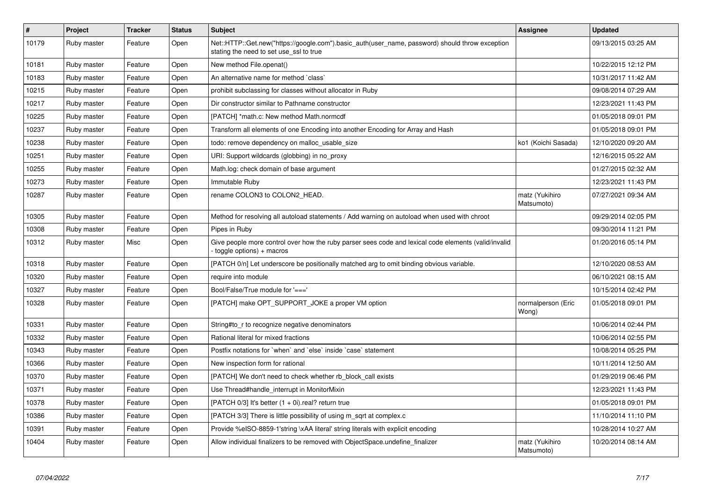| $\vert$ # | <b>Project</b> | <b>Tracker</b> | <b>Status</b> | <b>Subject</b>                                                                                                                             | Assignee                     | <b>Updated</b>      |
|-----------|----------------|----------------|---------------|--------------------------------------------------------------------------------------------------------------------------------------------|------------------------------|---------------------|
| 10179     | Ruby master    | Feature        | Open          | Net::HTTP::Get.new("https://google.com").basic_auth(user_name, password) should throw exception<br>stating the need to set use_ssl to true |                              | 09/13/2015 03:25 AM |
| 10181     | Ruby master    | Feature        | Open          | New method File.openat()                                                                                                                   |                              | 10/22/2015 12:12 PM |
| 10183     | Ruby master    | Feature        | Open          | An alternative name for method `class`                                                                                                     |                              | 10/31/2017 11:42 AM |
| 10215     | Ruby master    | Feature        | Open          | prohibit subclassing for classes without allocator in Ruby                                                                                 |                              | 09/08/2014 07:29 AM |
| 10217     | Ruby master    | Feature        | Open          | Dir constructor similar to Pathname constructor                                                                                            |                              | 12/23/2021 11:43 PM |
| 10225     | Ruby master    | Feature        | Open          | [PATCH] *math.c: New method Math.normcdf                                                                                                   |                              | 01/05/2018 09:01 PM |
| 10237     | Ruby master    | Feature        | Open          | Transform all elements of one Encoding into another Encoding for Array and Hash                                                            |                              | 01/05/2018 09:01 PM |
| 10238     | Ruby master    | Feature        | Open          | todo: remove dependency on malloc usable size                                                                                              | ko1 (Koichi Sasada)          | 12/10/2020 09:20 AM |
| 10251     | Ruby master    | Feature        | Open          | URI: Support wildcards (globbing) in no_proxy                                                                                              |                              | 12/16/2015 05:22 AM |
| 10255     | Ruby master    | Feature        | Open          | Math.log: check domain of base argument                                                                                                    |                              | 01/27/2015 02:32 AM |
| 10273     | Ruby master    | Feature        | Open          | Immutable Ruby                                                                                                                             |                              | 12/23/2021 11:43 PM |
| 10287     | Ruby master    | Feature        | Open          | rename COLON3 to COLON2 HEAD.                                                                                                              | matz (Yukihiro<br>Matsumoto) | 07/27/2021 09:34 AM |
| 10305     | Ruby master    | Feature        | Open          | Method for resolving all autoload statements / Add warning on autoload when used with chroot                                               |                              | 09/29/2014 02:05 PM |
| 10308     | Ruby master    | Feature        | Open          | Pipes in Ruby                                                                                                                              |                              | 09/30/2014 11:21 PM |
| 10312     | Ruby master    | Misc           | Open          | Give people more control over how the ruby parser sees code and lexical code elements (valid/invalid<br>toggle options) + macros           |                              | 01/20/2016 05:14 PM |
| 10318     | Ruby master    | Feature        | Open          | [PATCH 0/n] Let underscore be positionally matched arg to omit binding obvious variable.                                                   |                              | 12/10/2020 08:53 AM |
| 10320     | Ruby master    | Feature        | Open          | require into module                                                                                                                        |                              | 06/10/2021 08:15 AM |
| 10327     | Ruby master    | Feature        | Open          | Bool/False/True module for $'=='$                                                                                                          |                              | 10/15/2014 02:42 PM |
| 10328     | Ruby master    | Feature        | Open          | [PATCH] make OPT SUPPORT JOKE a proper VM option                                                                                           | normalperson (Eric<br>Wong)  | 01/05/2018 09:01 PM |
| 10331     | Ruby master    | Feature        | Open          | String#to r to recognize negative denominators                                                                                             |                              | 10/06/2014 02:44 PM |
| 10332     | Ruby master    | Feature        | Open          | Rational literal for mixed fractions                                                                                                       |                              | 10/06/2014 02:55 PM |
| 10343     | Ruby master    | Feature        | Open          | Postfix notations for 'when' and 'else' inside 'case' statement                                                                            |                              | 10/08/2014 05:25 PM |
| 10366     | Ruby master    | Feature        | Open          | New inspection form for rational                                                                                                           |                              | 10/11/2014 12:50 AM |
| 10370     | Ruby master    | Feature        | Open          | [PATCH] We don't need to check whether rb_block_call exists                                                                                |                              | 01/29/2019 06:46 PM |
| 10371     | Ruby master    | Feature        | Open          | Use Thread#handle_interrupt in MonitorMixin                                                                                                |                              | 12/23/2021 11:43 PM |
| 10378     | Ruby master    | Feature        | Open          | [PATCH $0/3$ ] It's better $(1 + 0i)$ .real? return true                                                                                   |                              | 01/05/2018 09:01 PM |
| 10386     | Ruby master    | Feature        | Open          | [PATCH 3/3] There is little possibility of using m sqrt at complex.c                                                                       |                              | 11/10/2014 11:10 PM |
| 10391     | Ruby master    | Feature        | Open          | Provide %eISO-8859-1'string \xAA literal' string literals with explicit encoding                                                           |                              | 10/28/2014 10:27 AM |
| 10404     | Ruby master    | Feature        | Open          | Allow individual finalizers to be removed with ObjectSpace.undefine_finalizer                                                              | matz (Yukihiro<br>Matsumoto) | 10/20/2014 08:14 AM |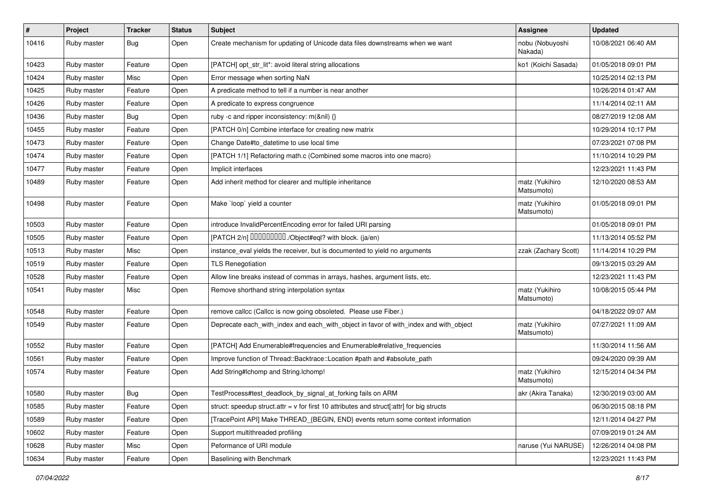| $\vert$ # | Project     | <b>Tracker</b> | <b>Status</b> | Subject                                                                                   | Assignee                     | <b>Updated</b>      |
|-----------|-------------|----------------|---------------|-------------------------------------------------------------------------------------------|------------------------------|---------------------|
| 10416     | Ruby master | <b>Bug</b>     | Open          | Create mechanism for updating of Unicode data files downstreams when we want              | nobu (Nobuyoshi<br>Nakada)   | 10/08/2021 06:40 AM |
| 10423     | Ruby master | Feature        | Open          | [PATCH] opt_str_lit*: avoid literal string allocations                                    | ko1 (Koichi Sasada)          | 01/05/2018 09:01 PM |
| 10424     | Ruby master | Misc           | Open          | Error message when sorting NaN                                                            |                              | 10/25/2014 02:13 PM |
| 10425     | Ruby master | Feature        | Open          | A predicate method to tell if a number is near another                                    |                              | 10/26/2014 01:47 AM |
| 10426     | Ruby master | Feature        | Open          | A predicate to express congruence                                                         |                              | 11/14/2014 02:11 AM |
| 10436     | Ruby master | Bug            | Open          | ruby -c and ripper inconsistency: m(&nil) {}                                              |                              | 08/27/2019 12:08 AM |
| 10455     | Ruby master | Feature        | Open          | [PATCH 0/n] Combine interface for creating new matrix                                     |                              | 10/29/2014 10:17 PM |
| 10473     | Ruby master | Feature        | Open          | Change Date#to_datetime to use local time                                                 |                              | 07/23/2021 07:08 PM |
| 10474     | Ruby master | Feature        | Open          | [PATCH 1/1] Refactoring math.c (Combined some macros into one macro)                      |                              | 11/10/2014 10:29 PM |
| 10477     | Ruby master | Feature        | Open          | Implicit interfaces                                                                       |                              | 12/23/2021 11:43 PM |
| 10489     | Ruby master | Feature        | Open          | Add inherit method for clearer and multiple inheritance                                   | matz (Yukihiro<br>Matsumoto) | 12/10/2020 08:53 AM |
| 10498     | Ruby master | Feature        | Open          | Make `loop` yield a counter                                                               | matz (Yukihiro<br>Matsumoto) | 01/05/2018 09:01 PM |
| 10503     | Ruby master | Feature        | Open          | introduce InvalidPercentEncoding error for failed URI parsing                             |                              | 01/05/2018 09:01 PM |
| 10505     | Ruby master | Feature        | Open          | [PATCH 2/n] DDDDDDDD./Object#eql? with block. (ja/en)                                     |                              | 11/13/2014 05:52 PM |
| 10513     | Ruby master | Misc           | Open          | instance_eval yields the receiver, but is documented to yield no arguments                | zzak (Zachary Scott)         | 11/14/2014 10:29 PM |
| 10519     | Ruby master | Feature        | Open          | <b>TLS Renegotiation</b>                                                                  |                              | 09/13/2015 03:29 AM |
| 10528     | Ruby master | Feature        | Open          | Allow line breaks instead of commas in arrays, hashes, argument lists, etc.               |                              | 12/23/2021 11:43 PM |
| 10541     | Ruby master | Misc           | Open          | Remove shorthand string interpolation syntax                                              | matz (Yukihiro<br>Matsumoto) | 10/08/2015 05:44 PM |
| 10548     | Ruby master | Feature        | Open          | remove callcc (Callcc is now going obsoleted. Please use Fiber.)                          |                              | 04/18/2022 09:07 AM |
| 10549     | Ruby master | Feature        | Open          | Deprecate each_with_index and each_with_object in favor of with_index and with_object     | matz (Yukihiro<br>Matsumoto) | 07/27/2021 11:09 AM |
| 10552     | Ruby master | Feature        | Open          | [PATCH] Add Enumerable#frequencies and Enumerable#relative_frequencies                    |                              | 11/30/2014 11:56 AM |
| 10561     | Ruby master | Feature        | Open          | Improve function of Thread::Backtrace::Location #path and #absolute_path                  |                              | 09/24/2020 09:39 AM |
| 10574     | Ruby master | Feature        | Open          | Add String#Ichomp and String.Ichomp!                                                      | matz (Yukihiro<br>Matsumoto) | 12/15/2014 04:34 PM |
| 10580     | Ruby master | Bug            | Open          | TestProcess#test_deadlock_by_signal_at_forking fails on ARM                               | akr (Akira Tanaka)           | 12/30/2019 03:00 AM |
| 10585     | Ruby master | Feature        | Open          | struct: speedup struct.attr = v for first 10 attributes and struct[:attr] for big structs |                              | 06/30/2015 08:18 PM |
| 10589     | Ruby master | Feature        | Open          | [TracePoint API] Make THREAD {BEGIN, END} events return some context information          |                              | 12/11/2014 04:27 PM |
| 10602     | Ruby master | Feature        | Open          | Support multithreaded profiling                                                           |                              | 07/09/2019 01:24 AM |
| 10628     | Ruby master | Misc           | Open          | Peformance of URI module                                                                  | naruse (Yui NARUSE)          | 12/26/2014 04:08 PM |
| 10634     | Ruby master | Feature        | Open          | Baselining with Benchmark                                                                 |                              | 12/23/2021 11:43 PM |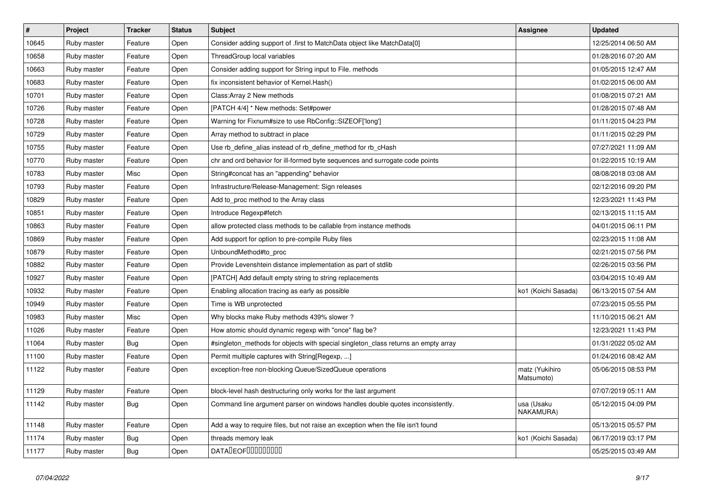| $\vert$ # | Project     | <b>Tracker</b> | <b>Status</b> | <b>Subject</b>                                                                     | <b>Assignee</b>              | <b>Updated</b>      |
|-----------|-------------|----------------|---------------|------------------------------------------------------------------------------------|------------------------------|---------------------|
| 10645     | Ruby master | Feature        | Open          | Consider adding support of .first to MatchData object like MatchData[0]            |                              | 12/25/2014 06:50 AM |
| 10658     | Ruby master | Feature        | Open          | ThreadGroup local variables                                                        |                              | 01/28/2016 07:20 AM |
| 10663     | Ruby master | Feature        | Open          | Consider adding support for String input to File. methods                          |                              | 01/05/2015 12:47 AM |
| 10683     | Ruby master | Feature        | Open          | fix inconsistent behavior of Kernel. Hash()                                        |                              | 01/02/2015 06:00 AM |
| 10701     | Ruby master | Feature        | Open          | Class: Array 2 New methods                                                         |                              | 01/08/2015 07:21 AM |
| 10726     | Ruby master | Feature        | Open          | [PATCH 4/4] * New methods: Set#power                                               |                              | 01/28/2015 07:48 AM |
| 10728     | Ruby master | Feature        | Open          | Warning for Fixnum#size to use RbConfig::SIZEOF['long']                            |                              | 01/11/2015 04:23 PM |
| 10729     | Ruby master | Feature        | Open          | Array method to subtract in place                                                  |                              | 01/11/2015 02:29 PM |
| 10755     | Ruby master | Feature        | Open          | Use rb_define_alias instead of rb_define_method for rb_cHash                       |                              | 07/27/2021 11:09 AM |
| 10770     | Ruby master | Feature        | Open          | chr and ord behavior for ill-formed byte sequences and surrogate code points       |                              | 01/22/2015 10:19 AM |
| 10783     | Ruby master | Misc           | Open          | String#concat has an "appending" behavior                                          |                              | 08/08/2018 03:08 AM |
| 10793     | Ruby master | Feature        | Open          | Infrastructure/Release-Management: Sign releases                                   |                              | 02/12/2016 09:20 PM |
| 10829     | Ruby master | Feature        | Open          | Add to_proc method to the Array class                                              |                              | 12/23/2021 11:43 PM |
| 10851     | Ruby master | Feature        | Open          | Introduce Regexp#fetch                                                             |                              | 02/13/2015 11:15 AM |
| 10863     | Ruby master | Feature        | Open          | allow protected class methods to be callable from instance methods                 |                              | 04/01/2015 06:11 PM |
| 10869     | Ruby master | Feature        | Open          | Add support for option to pre-compile Ruby files                                   |                              | 02/23/2015 11:08 AM |
| 10879     | Ruby master | Feature        | Open          | UnboundMethod#to_proc                                                              |                              | 02/21/2015 07:56 PM |
| 10882     | Ruby master | Feature        | Open          | Provide Levenshtein distance implementation as part of stdlib                      |                              | 02/26/2015 03:56 PM |
| 10927     | Ruby master | Feature        | Open          | [PATCH] Add default empty string to string replacements                            |                              | 03/04/2015 10:49 AM |
| 10932     | Ruby master | Feature        | Open          | Enabling allocation tracing as early as possible                                   | ko1 (Koichi Sasada)          | 06/13/2015 07:54 AM |
| 10949     | Ruby master | Feature        | Open          | Time is WB unprotected                                                             |                              | 07/23/2015 05:55 PM |
| 10983     | Ruby master | Misc           | Open          | Why blocks make Ruby methods 439% slower?                                          |                              | 11/10/2015 06:21 AM |
| 11026     | Ruby master | Feature        | Open          | How atomic should dynamic regexp with "once" flag be?                              |                              | 12/23/2021 11:43 PM |
| 11064     | Ruby master | <b>Bug</b>     | Open          | #singleton_methods for objects with special singleton_class returns an empty array |                              | 01/31/2022 05:02 AM |
| 11100     | Ruby master | Feature        | Open          | Permit multiple captures with String[Regexp, ]                                     |                              | 01/24/2016 08:42 AM |
| 11122     | Ruby master | Feature        | Open          | exception-free non-blocking Queue/SizedQueue operations                            | matz (Yukihiro<br>Matsumoto) | 05/06/2015 08:53 PM |
| 11129     | Ruby master | Feature        | Open          | block-level hash destructuring only works for the last argument                    |                              | 07/07/2019 05:11 AM |
| 11142     | Ruby master | <b>Bug</b>     | Open          | Command line argument parser on windows handles double quotes inconsistently.      | usa (Usaku<br>NAKAMURA)      | 05/12/2015 04:09 PM |
| 11148     | Ruby master | Feature        | Open          | Add a way to require files, but not raise an exception when the file isn't found   |                              | 05/13/2015 05:57 PM |
| 11174     | Ruby master | <b>Bug</b>     | Open          | threads memory leak                                                                | ko1 (Koichi Sasada)          | 06/17/2019 03:17 PM |
| 11177     | Ruby master | <b>Bug</b>     | Open          | <b>DATALEOFILILILILILI</b>                                                         |                              | 05/25/2015 03:49 AM |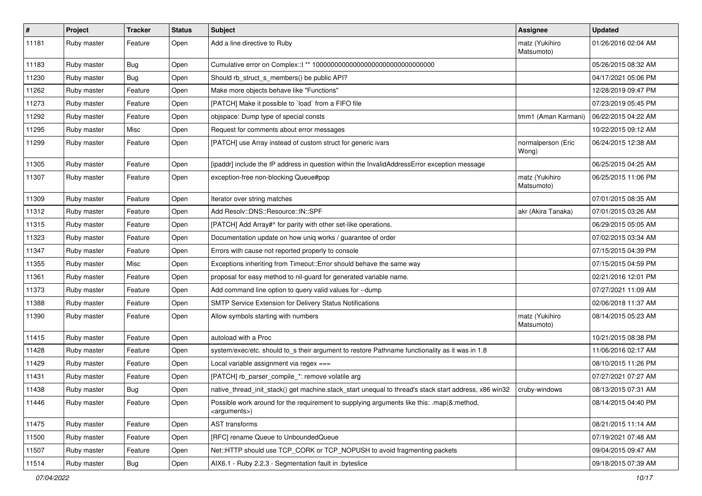| $\vert$ # | Project     | <b>Tracker</b> | <b>Status</b> | <b>Subject</b>                                                                                                        | Assignee                     | <b>Updated</b>      |
|-----------|-------------|----------------|---------------|-----------------------------------------------------------------------------------------------------------------------|------------------------------|---------------------|
| 11181     | Ruby master | Feature        | Open          | Add a line directive to Ruby                                                                                          | matz (Yukihiro<br>Matsumoto) | 01/26/2016 02:04 AM |
| 11183     | Ruby master | Bug            | Open          |                                                                                                                       |                              | 05/26/2015 08:32 AM |
| 11230     | Ruby master | <b>Bug</b>     | Open          | Should rb_struct_s_members() be public API?                                                                           |                              | 04/17/2021 05:06 PM |
| 11262     | Ruby master | Feature        | Open          | Make more objects behave like "Functions"                                                                             |                              | 12/28/2019 09:47 PM |
| 11273     | Ruby master | Feature        | Open          | [PATCH] Make it possible to `load` from a FIFO file                                                                   |                              | 07/23/2019 05:45 PM |
| 11292     | Ruby master | Feature        | Open          | objspace: Dump type of special consts                                                                                 | tmm1 (Aman Karmani)          | 06/22/2015 04:22 AM |
| 11295     | Ruby master | Misc           | Open          | Request for comments about error messages                                                                             |                              | 10/22/2015 09:12 AM |
| 11299     | Ruby master | Feature        | Open          | [PATCH] use Array instead of custom struct for generic ivars                                                          | normalperson (Eric<br>Wong)  | 06/24/2015 12:38 AM |
| 11305     | Ruby master | Feature        | Open          | [ipaddr] include the IP address in question within the InvalidAddressError exception message                          |                              | 06/25/2015 04:25 AM |
| 11307     | Ruby master | Feature        | Open          | exception-free non-blocking Queue#pop                                                                                 | matz (Yukihiro<br>Matsumoto) | 06/25/2015 11:06 PM |
| 11309     | Ruby master | Feature        | Open          | Iterator over string matches                                                                                          |                              | 07/01/2015 08:35 AM |
| 11312     | Ruby master | Feature        | Open          | Add Resolv::DNS::Resource::IN::SPF                                                                                    | akr (Akira Tanaka)           | 07/01/2015 03:26 AM |
| 11315     | Ruby master | Feature        | Open          | [PATCH] Add Array#^ for parity with other set-like operations.                                                        |                              | 06/29/2015 05:05 AM |
| 11323     | Ruby master | Feature        | Open          | Documentation update on how uniq works / guarantee of order                                                           |                              | 07/02/2015 03:34 AM |
| 11347     | Ruby master | Feature        | Open          | Errors with cause not reported properly to console                                                                    |                              | 07/15/2015 04:39 PM |
| 11355     | Ruby master | Misc           | Open          | Exceptions inheriting from Timeout:: Error should behave the same way                                                 |                              | 07/15/2015 04:59 PM |
| 11361     | Ruby master | Feature        | Open          | proposal for easy method to nil-guard for generated variable name.                                                    |                              | 02/21/2016 12:01 PM |
| 11373     | Ruby master | Feature        | Open          | Add command line option to query valid values for --dump                                                              |                              | 07/27/2021 11:09 AM |
| 11388     | Ruby master | Feature        | Open          | SMTP Service Extension for Delivery Status Notifications                                                              |                              | 02/06/2018 11:37 AM |
| 11390     | Ruby master | Feature        | Open          | Allow symbols starting with numbers                                                                                   | matz (Yukihiro<br>Matsumoto) | 08/14/2015 05:23 AM |
| 11415     | Ruby master | Feature        | Open          | autoload with a Proc                                                                                                  |                              | 10/21/2015 08:38 PM |
| 11428     | Ruby master | Feature        | Open          | system/exec/etc. should to_s their argument to restore Pathname functionality as it was in 1.8                        |                              | 11/06/2016 02:17 AM |
| 11429     | Ruby master | Feature        | Open          | Local variable assignment via regex ===                                                                               |                              | 08/10/2015 11:26 PM |
| 11431     | Ruby master | Feature        | Open          | [PATCH] rb_parser_compile_*: remove volatile arg                                                                      |                              | 07/27/2021 07:27 AM |
| 11438     | Ruby master | <b>Bug</b>     | Open          | native_thread_init_stack() get machine.stack_start unequal to thread's stack start address, x86 win32                 | cruby-windows                | 08/13/2015 07:31 AM |
| 11446     | Ruby master | Feature        | Open          | Possible work around for the requirement to supplying arguments like this: .map(&:method,<br><arguments>)</arguments> |                              | 08/14/2015 04:40 PM |
| 11475     | Ruby master | Feature        | Open          | AST transforms                                                                                                        |                              | 08/21/2015 11:14 AM |
| 11500     | Ruby master | Feature        | Open          | [RFC] rename Queue to UnboundedQueue                                                                                  |                              | 07/19/2021 07:48 AM |
| 11507     | Ruby master | Feature        | Open          | Net::HTTP should use TCP_CORK or TCP_NOPUSH to avoid fragmenting packets                                              |                              | 09/04/2015 09:47 AM |
| 11514     | Ruby master | Bug            | Open          | AIX6.1 - Ruby 2.2.3 - Segmentation fault in :byteslice                                                                |                              | 09/18/2015 07:39 AM |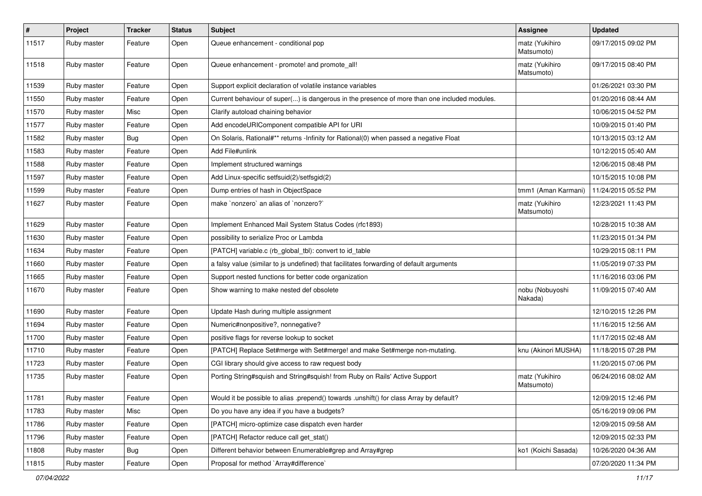| $\vert$ # | Project     | <b>Tracker</b> | <b>Status</b> | <b>Subject</b>                                                                               | <b>Assignee</b>              | <b>Updated</b>      |
|-----------|-------------|----------------|---------------|----------------------------------------------------------------------------------------------|------------------------------|---------------------|
| 11517     | Ruby master | Feature        | Open          | Queue enhancement - conditional pop                                                          | matz (Yukihiro<br>Matsumoto) | 09/17/2015 09:02 PM |
| 11518     | Ruby master | Feature        | Open          | Queue enhancement - promote! and promote all!                                                | matz (Yukihiro<br>Matsumoto) | 09/17/2015 08:40 PM |
| 11539     | Ruby master | Feature        | Open          | Support explicit declaration of volatile instance variables                                  |                              | 01/26/2021 03:30 PM |
| 11550     | Ruby master | Feature        | Open          | Current behaviour of super() is dangerous in the presence of more than one included modules. |                              | 01/20/2016 08:44 AM |
| 11570     | Ruby master | Misc           | Open          | Clarify autoload chaining behavior                                                           |                              | 10/06/2015 04:52 PM |
| 11577     | Ruby master | Feature        | Open          | Add encodeURIComponent compatible API for URI                                                |                              | 10/09/2015 01:40 PM |
| 11582     | Ruby master | <b>Bug</b>     | Open          | On Solaris, Rational#** returns -Infinity for Rational(0) when passed a negative Float       |                              | 10/13/2015 03:12 AM |
| 11583     | Ruby master | Feature        | Open          | Add File#unlink                                                                              |                              | 10/12/2015 05:40 AM |
| 11588     | Ruby master | Feature        | Open          | Implement structured warnings                                                                |                              | 12/06/2015 08:48 PM |
| 11597     | Ruby master | Feature        | Open          | Add Linux-specific setfsuid(2)/setfsgid(2)                                                   |                              | 10/15/2015 10:08 PM |
| 11599     | Ruby master | Feature        | Open          | Dump entries of hash in ObjectSpace                                                          | tmm1 (Aman Karmani)          | 11/24/2015 05:52 PM |
| 11627     | Ruby master | Feature        | Open          | make `nonzero` an alias of `nonzero?`                                                        | matz (Yukihiro<br>Matsumoto) | 12/23/2021 11:43 PM |
| 11629     | Ruby master | Feature        | Open          | Implement Enhanced Mail System Status Codes (rfc1893)                                        |                              | 10/28/2015 10:38 AM |
| 11630     | Ruby master | Feature        | Open          | possibility to serialize Proc or Lambda                                                      |                              | 11/23/2015 01:34 PM |
| 11634     | Ruby master | Feature        | Open          | [PATCH] variable.c (rb_global_tbl): convert to id_table                                      |                              | 10/29/2015 08:11 PM |
| 11660     | Ruby master | Feature        | Open          | a falsy value (similar to js undefined) that facilitates forwarding of default arguments     |                              | 11/05/2019 07:33 PM |
| 11665     | Ruby master | Feature        | Open          | Support nested functions for better code organization                                        |                              | 11/16/2016 03:06 PM |
| 11670     | Ruby master | Feature        | Open          | Show warning to make nested def obsolete                                                     | nobu (Nobuyoshi<br>Nakada)   | 11/09/2015 07:40 AM |
| 11690     | Ruby master | Feature        | Open          | Update Hash during multiple assignment                                                       |                              | 12/10/2015 12:26 PM |
| 11694     | Ruby master | Feature        | Open          | Numeric#nonpositive?, nonnegative?                                                           |                              | 11/16/2015 12:56 AM |
| 11700     | Ruby master | Feature        | Open          | positive flags for reverse lookup to socket                                                  |                              | 11/17/2015 02:48 AM |
| 11710     | Ruby master | Feature        | Open          | [PATCH] Replace Set#merge with Set#merge! and make Set#merge non-mutating.                   | knu (Akinori MUSHA)          | 11/18/2015 07:28 PM |
| 11723     | Ruby master | Feature        | Open          | CGI library should give access to raw request body                                           |                              | 11/20/2015 07:06 PM |
| 11735     | Ruby master | Feature        | Open          | Porting String#squish and String#squish! from Ruby on Rails' Active Support                  | matz (Yukihiro<br>Matsumoto) | 06/24/2016 08:02 AM |
| 11781     | Ruby master | Feature        | Open          | Would it be possible to alias .prepend() towards .unshift() for class Array by default?      |                              | 12/09/2015 12:46 PM |
| 11783     | Ruby master | Misc           | Open          | Do you have any idea if you have a budgets?                                                  |                              | 05/16/2019 09:06 PM |
| 11786     | Ruby master | Feature        | Open          | [PATCH] micro-optimize case dispatch even harder                                             |                              | 12/09/2015 09:58 AM |
| 11796     | Ruby master | Feature        | Open          | [PATCH] Refactor reduce call get_stat()                                                      |                              | 12/09/2015 02:33 PM |
| 11808     | Ruby master | Bug            | Open          | Different behavior between Enumerable#grep and Array#grep                                    | ko1 (Koichi Sasada)          | 10/26/2020 04:36 AM |
| 11815     | Ruby master | Feature        | Open          | Proposal for method `Array#difference`                                                       |                              | 07/20/2020 11:34 PM |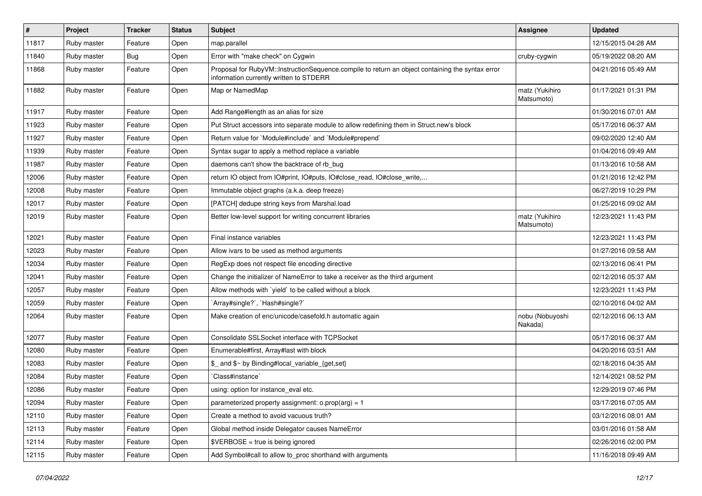| $\vert$ # | Project     | <b>Tracker</b> | <b>Status</b> | Subject                                                                                                                                     | <b>Assignee</b>              | <b>Updated</b>      |
|-----------|-------------|----------------|---------------|---------------------------------------------------------------------------------------------------------------------------------------------|------------------------------|---------------------|
| 11817     | Ruby master | Feature        | Open          | map.parallel                                                                                                                                |                              | 12/15/2015 04:28 AM |
| 11840     | Ruby master | Bug            | Open          | Error with "make check" on Cygwin                                                                                                           | cruby-cygwin                 | 05/19/2022 08:20 AM |
| 11868     | Ruby master | Feature        | Open          | Proposal for RubyVM::InstructionSequence.compile to return an object containing the syntax error<br>information currently written to STDERR |                              | 04/21/2016 05:49 AM |
| 11882     | Ruby master | Feature        | Open          | Map or NamedMap                                                                                                                             | matz (Yukihiro<br>Matsumoto) | 01/17/2021 01:31 PM |
| 11917     | Ruby master | Feature        | Open          | Add Range#length as an alias for size                                                                                                       |                              | 01/30/2016 07:01 AM |
| 11923     | Ruby master | Feature        | Open          | Put Struct accessors into separate module to allow redefining them in Struct.new's block                                                    |                              | 05/17/2016 06:37 AM |
| 11927     | Ruby master | Feature        | Open          | Return value for `Module#include` and `Module#prepend`                                                                                      |                              | 09/02/2020 12:40 AM |
| 11939     | Ruby master | Feature        | Open          | Syntax sugar to apply a method replace a variable                                                                                           |                              | 01/04/2016 09:49 AM |
| 11987     | Ruby master | Feature        | Open          | daemons can't show the backtrace of rb_bug                                                                                                  |                              | 01/13/2016 10:58 AM |
| 12006     | Ruby master | Feature        | Open          | return IO object from IO#print, IO#puts, IO#close_read, IO#close_write,                                                                     |                              | 01/21/2016 12:42 PM |
| 12008     | Ruby master | Feature        | Open          | Immutable object graphs (a.k.a. deep freeze)                                                                                                |                              | 06/27/2019 10:29 PM |
| 12017     | Ruby master | Feature        | Open          | [PATCH] dedupe string keys from Marshal.load                                                                                                |                              | 01/25/2016 09:02 AM |
| 12019     | Ruby master | Feature        | Open          | Better low-level support for writing concurrent libraries                                                                                   | matz (Yukihiro<br>Matsumoto) | 12/23/2021 11:43 PM |
| 12021     | Ruby master | Feature        | Open          | Final instance variables                                                                                                                    |                              | 12/23/2021 11:43 PM |
| 12023     | Ruby master | Feature        | Open          | Allow ivars to be used as method arguments                                                                                                  |                              | 01/27/2016 09:58 AM |
| 12034     | Ruby master | Feature        | Open          | RegExp does not respect file encoding directive                                                                                             |                              | 02/13/2016 06:41 PM |
| 12041     | Ruby master | Feature        | Open          | Change the initializer of NameError to take a receiver as the third argument                                                                |                              | 02/12/2016 05:37 AM |
| 12057     | Ruby master | Feature        | Open          | Allow methods with `yield` to be called without a block                                                                                     |                              | 12/23/2021 11:43 PM |
| 12059     | Ruby master | Feature        | Open          | Array#single?`, `Hash#single?`                                                                                                              |                              | 02/10/2016 04:02 AM |
| 12064     | Ruby master | Feature        | Open          | Make creation of enc/unicode/casefold.h automatic again                                                                                     | nobu (Nobuyoshi<br>Nakada)   | 02/12/2016 06:13 AM |
| 12077     | Ruby master | Feature        | Open          | Consolidate SSLSocket interface with TCPSocket                                                                                              |                              | 05/17/2016 06:37 AM |
| 12080     | Ruby master | Feature        | Open          | Enumerable#first, Array#last with block                                                                                                     |                              | 04/20/2016 03:51 AM |
| 12083     | Ruby master | Feature        | Open          | \$_ and \$~ by Binding#local_variable_{get,set}                                                                                             |                              | 02/18/2016 04:35 AM |
| 12084     | Ruby master | Feature        | Open          | Class#instance`                                                                                                                             |                              | 12/14/2021 08:52 PM |
| 12086     | Ruby master | Feature        | Open          | using: option for instance_eval etc.                                                                                                        |                              | 12/29/2019 07:46 PM |
| 12094     | Ruby master | Feature        | Open          | parameterized property assignment: $o.prop(arg) = 1$                                                                                        |                              | 03/17/2016 07:05 AM |
| 12110     | Ruby master | Feature        | Open          | Create a method to avoid vacuous truth?                                                                                                     |                              | 03/12/2016 08:01 AM |
| 12113     | Ruby master | Feature        | Open          | Global method inside Delegator causes NameError                                                                                             |                              | 03/01/2016 01:58 AM |
| 12114     | Ruby master | Feature        | Open          | $$VERBOSE = true is being ignored$                                                                                                          |                              | 02/26/2016 02:00 PM |
| 12115     | Ruby master | Feature        | Open          | Add Symbol#call to allow to_proc shorthand with arguments                                                                                   |                              | 11/16/2018 09:49 AM |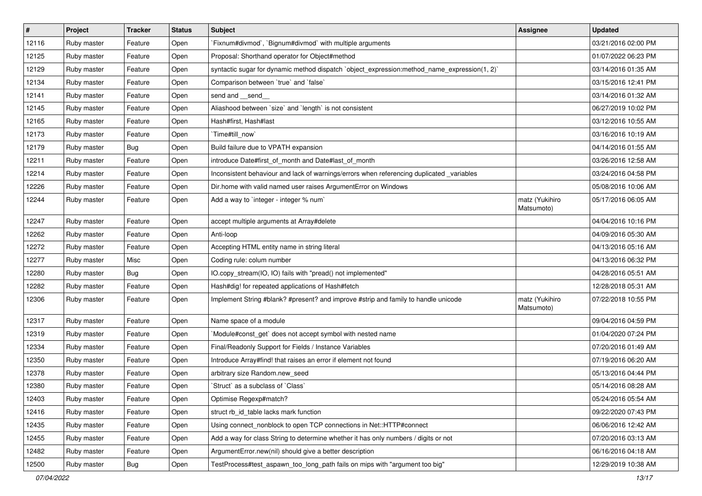| $\vert$ # | Project     | <b>Tracker</b> | <b>Status</b> | Subject                                                                                      | Assignee                     | Updated             |
|-----------|-------------|----------------|---------------|----------------------------------------------------------------------------------------------|------------------------------|---------------------|
| 12116     | Ruby master | Feature        | Open          | `Fixnum#divmod`, `Bignum#divmod` with multiple arguments                                     |                              | 03/21/2016 02:00 PM |
| 12125     | Ruby master | Feature        | Open          | Proposal: Shorthand operator for Object#method                                               |                              | 01/07/2022 06:23 PM |
| 12129     | Ruby master | Feature        | Open          | syntactic sugar for dynamic method dispatch `object_expression:method_name_expression(1, 2)` |                              | 03/14/2016 01:35 AM |
| 12134     | Ruby master | Feature        | Open          | Comparison between 'true' and 'false'                                                        |                              | 03/15/2016 12:41 PM |
| 12141     | Ruby master | Feature        | Open          | send and __send_                                                                             |                              | 03/14/2016 01:32 AM |
| 12145     | Ruby master | Feature        | Open          | Aliashood between `size` and `length` is not consistent                                      |                              | 06/27/2019 10:02 PM |
| 12165     | Ruby master | Feature        | Open          | Hash#first. Hash#last                                                                        |                              | 03/12/2016 10:55 AM |
| 12173     | Ruby master | Feature        | Open          | `Time#till_now`                                                                              |                              | 03/16/2016 10:19 AM |
| 12179     | Ruby master | Bug            | Open          | Build failure due to VPATH expansion                                                         |                              | 04/14/2016 01:55 AM |
| 12211     | Ruby master | Feature        | Open          | introduce Date#first_of_month and Date#last_of_month                                         |                              | 03/26/2016 12:58 AM |
| 12214     | Ruby master | Feature        | Open          | Inconsistent behaviour and lack of warnings/errors when referencing duplicated _variables    |                              | 03/24/2016 04:58 PM |
| 12226     | Ruby master | Feature        | Open          | Dir.home with valid named user raises ArgumentError on Windows                               |                              | 05/08/2016 10:06 AM |
| 12244     | Ruby master | Feature        | Open          | Add a way to 'integer - integer % num'                                                       | matz (Yukihiro<br>Matsumoto) | 05/17/2016 06:05 AM |
| 12247     | Ruby master | Feature        | Open          | accept multiple arguments at Array#delete                                                    |                              | 04/04/2016 10:16 PM |
| 12262     | Ruby master | Feature        | Open          | Anti-loop                                                                                    |                              | 04/09/2016 05:30 AM |
| 12272     | Ruby master | Feature        | Open          | Accepting HTML entity name in string literal                                                 |                              | 04/13/2016 05:16 AM |
| 12277     | Ruby master | Misc           | Open          | Coding rule: colum number                                                                    |                              | 04/13/2016 06:32 PM |
| 12280     | Ruby master | <b>Bug</b>     | Open          | IO.copy_stream(IO, IO) fails with "pread() not implemented"                                  |                              | 04/28/2016 05:51 AM |
| 12282     | Ruby master | Feature        | Open          | Hash#dig! for repeated applications of Hash#fetch                                            |                              | 12/28/2018 05:31 AM |
| 12306     | Ruby master | Feature        | Open          | Implement String #blank? #present? and improve #strip and family to handle unicode           | matz (Yukihiro<br>Matsumoto) | 07/22/2018 10:55 PM |
| 12317     | Ruby master | Feature        | Open          | Name space of a module                                                                       |                              | 09/04/2016 04:59 PM |
| 12319     | Ruby master | Feature        | Open          | Module#const_get` does not accept symbol with nested name                                    |                              | 01/04/2020 07:24 PM |
| 12334     | Ruby master | Feature        | Open          | Final/Readonly Support for Fields / Instance Variables                                       |                              | 07/20/2016 01:49 AM |
| 12350     | Ruby master | Feature        | Open          | Introduce Array#find! that raises an error if element not found                              |                              | 07/19/2016 06:20 AM |
| 12378     | Ruby master | Feature        | Open          | arbitrary size Random.new_seed                                                               |                              | 05/13/2016 04:44 PM |
| 12380     | Ruby master | Feature        | Open          | 'Struct' as a subclass of 'Class'                                                            |                              | 05/14/2016 08:28 AM |
| 12403     | Ruby master | Feature        | Open          | Optimise Regexp#match?                                                                       |                              | 05/24/2016 05:54 AM |
| 12416     | Ruby master | Feature        | Open          | struct rb_id_table lacks mark function                                                       |                              | 09/22/2020 07:43 PM |
| 12435     | Ruby master | Feature        | Open          | Using connect_nonblock to open TCP connections in Net::HTTP#connect                          |                              | 06/06/2016 12:42 AM |
| 12455     | Ruby master | Feature        | Open          | Add a way for class String to determine whether it has only numbers / digits or not          |                              | 07/20/2016 03:13 AM |
| 12482     | Ruby master | Feature        | Open          | ArgumentError.new(nil) should give a better description                                      |                              | 06/16/2016 04:18 AM |
| 12500     | Ruby master | <b>Bug</b>     | Open          | TestProcess#test_aspawn_too_long_path fails on mips with "argument too big"                  |                              | 12/29/2019 10:38 AM |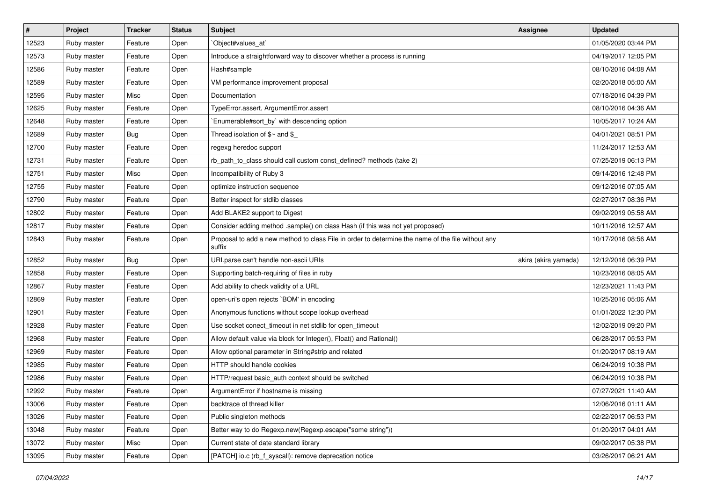| #     | Project     | <b>Tracker</b> | <b>Status</b> | Subject                                                                                                     | <b>Assignee</b>      | <b>Updated</b>      |
|-------|-------------|----------------|---------------|-------------------------------------------------------------------------------------------------------------|----------------------|---------------------|
| 12523 | Ruby master | Feature        | Open          | Object#values_at                                                                                            |                      | 01/05/2020 03:44 PM |
| 12573 | Ruby master | Feature        | Open          | Introduce a straightforward way to discover whether a process is running                                    |                      | 04/19/2017 12:05 PM |
| 12586 | Ruby master | Feature        | Open          | Hash#sample                                                                                                 |                      | 08/10/2016 04:08 AM |
| 12589 | Ruby master | Feature        | Open          | VM performance improvement proposal                                                                         |                      | 02/20/2018 05:00 AM |
| 12595 | Ruby master | Misc           | Open          | Documentation                                                                                               |                      | 07/18/2016 04:39 PM |
| 12625 | Ruby master | Feature        | Open          | TypeError.assert, ArgumentError.assert                                                                      |                      | 08/10/2016 04:36 AM |
| 12648 | Ruby master | Feature        | Open          | Enumerable#sort_by` with descending option                                                                  |                      | 10/05/2017 10:24 AM |
| 12689 | Ruby master | <b>Bug</b>     | Open          | Thread isolation of $$~$ and \$                                                                             |                      | 04/01/2021 08:51 PM |
| 12700 | Ruby master | Feature        | Open          | regexg heredoc support                                                                                      |                      | 11/24/2017 12:53 AM |
| 12731 | Ruby master | Feature        | Open          | rb_path_to_class should call custom const_defined? methods (take 2)                                         |                      | 07/25/2019 06:13 PM |
| 12751 | Ruby master | Misc           | Open          | Incompatibility of Ruby 3                                                                                   |                      | 09/14/2016 12:48 PM |
| 12755 | Ruby master | Feature        | Open          | optimize instruction sequence                                                                               |                      | 09/12/2016 07:05 AM |
| 12790 | Ruby master | Feature        | Open          | Better inspect for stdlib classes                                                                           |                      | 02/27/2017 08:36 PM |
| 12802 | Ruby master | Feature        | Open          | Add BLAKE2 support to Digest                                                                                |                      | 09/02/2019 05:58 AM |
| 12817 | Ruby master | Feature        | Open          | Consider adding method .sample() on class Hash (if this was not yet proposed)                               |                      | 10/11/2016 12:57 AM |
| 12843 | Ruby master | Feature        | Open          | Proposal to add a new method to class File in order to determine the name of the file without any<br>suffix |                      | 10/17/2016 08:56 AM |
| 12852 | Ruby master | <b>Bug</b>     | Open          | URI.parse can't handle non-ascii URIs                                                                       | akira (akira yamada) | 12/12/2016 06:39 PM |
| 12858 | Ruby master | Feature        | Open          | Supporting batch-requiring of files in ruby                                                                 |                      | 10/23/2016 08:05 AM |
| 12867 | Ruby master | Feature        | Open          | Add ability to check validity of a URL                                                                      |                      | 12/23/2021 11:43 PM |
| 12869 | Ruby master | Feature        | Open          | open-uri's open rejects `BOM' in encoding                                                                   |                      | 10/25/2016 05:06 AM |
| 12901 | Ruby master | Feature        | Open          | Anonymous functions without scope lookup overhead                                                           |                      | 01/01/2022 12:30 PM |
| 12928 | Ruby master | Feature        | Open          | Use socket conect_timeout in net stdlib for open_timeout                                                    |                      | 12/02/2019 09:20 PM |
| 12968 | Ruby master | Feature        | Open          | Allow default value via block for Integer(), Float() and Rational()                                         |                      | 06/28/2017 05:53 PM |
| 12969 | Ruby master | Feature        | Open          | Allow optional parameter in String#strip and related                                                        |                      | 01/20/2017 08:19 AM |
| 12985 | Ruby master | Feature        | Open          | HTTP should handle cookies                                                                                  |                      | 06/24/2019 10:38 PM |
| 12986 | Ruby master | Feature        | Open          | HTTP/request basic_auth context should be switched                                                          |                      | 06/24/2019 10:38 PM |
| 12992 | Ruby master | Feature        | Open          | ArgumentError if hostname is missing                                                                        |                      | 07/27/2021 11:40 AM |
| 13006 | Ruby master | Feature        | Open          | backtrace of thread killer                                                                                  |                      | 12/06/2016 01:11 AM |
| 13026 | Ruby master | Feature        | Open          | Public singleton methods                                                                                    |                      | 02/22/2017 06:53 PM |
| 13048 | Ruby master | Feature        | Open          | Better way to do Regexp.new(Regexp.escape("some string"))                                                   |                      | 01/20/2017 04:01 AM |
| 13072 | Ruby master | Misc           | Open          | Current state of date standard library                                                                      |                      | 09/02/2017 05:38 PM |
| 13095 | Ruby master | Feature        | Open          | [PATCH] io.c (rb_f_syscall): remove deprecation notice                                                      |                      | 03/26/2017 06:21 AM |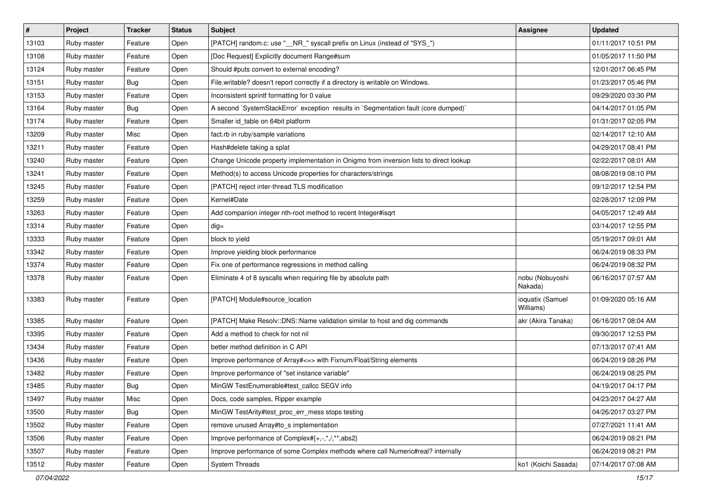| #     | Project     | <b>Tracker</b> | <b>Status</b> | Subject                                                                                | <b>Assignee</b>               | <b>Updated</b>      |
|-------|-------------|----------------|---------------|----------------------------------------------------------------------------------------|-------------------------------|---------------------|
| 13103 | Ruby master | Feature        | Open          | [PATCH] random.c: use "__NR_" syscall prefix on Linux (instead of "SYS_")              |                               | 01/11/2017 10:51 PM |
| 13108 | Ruby master | Feature        | Open          | [Doc Request] Explicitly document Range#sum                                            |                               | 01/05/2017 11:50 PM |
| 13124 | Ruby master | Feature        | Open          | Should #puts convert to external encoding?                                             |                               | 12/01/2017 06:45 PM |
| 13151 | Ruby master | Bug            | Open          | File.writable? doesn't report correctly if a directory is writable on Windows.         |                               | 01/23/2017 05:46 PM |
| 13153 | Ruby master | Feature        | Open          | Inconsistent sprintf formatting for 0 value                                            |                               | 09/29/2020 03:30 PM |
| 13164 | Ruby master | <b>Bug</b>     | Open          | A second `SystemStackError` exception results in `Segmentation fault (core dumped)`    |                               | 04/14/2017 01:05 PM |
| 13174 | Ruby master | Feature        | Open          | Smaller id table on 64bit platform                                                     |                               | 01/31/2017 02:05 PM |
| 13209 | Ruby master | Misc           | Open          | fact.rb in ruby/sample variations                                                      |                               | 02/14/2017 12:10 AM |
| 13211 | Ruby master | Feature        | Open          | Hash#delete taking a splat                                                             |                               | 04/29/2017 08:41 PM |
| 13240 | Ruby master | Feature        | Open          | Change Unicode property implementation in Onigmo from inversion lists to direct lookup |                               | 02/22/2017 08:01 AM |
| 13241 | Ruby master | Feature        | Open          | Method(s) to access Unicode properties for characters/strings                          |                               | 08/08/2019 08:10 PM |
| 13245 | Ruby master | Feature        | Open          | [PATCH] reject inter-thread TLS modification                                           |                               | 09/12/2017 12:54 PM |
| 13259 | Ruby master | Feature        | Open          | Kernel#Date                                                                            |                               | 02/28/2017 12:09 PM |
| 13263 | Ruby master | Feature        | Open          | Add companion integer nth-root method to recent Integer#isqrt                          |                               | 04/05/2017 12:49 AM |
| 13314 | Ruby master | Feature        | Open          | $dig =$                                                                                |                               | 03/14/2017 12:55 PM |
| 13333 | Ruby master | Feature        | Open          | block to yield                                                                         |                               | 05/19/2017 09:01 AM |
| 13342 | Ruby master | Feature        | Open          | Improve yielding block performance                                                     |                               | 06/24/2019 08:33 PM |
| 13374 | Ruby master | Feature        | Open          | Fix one of performance regressions in method calling                                   |                               | 06/24/2019 08:32 PM |
| 13378 | Ruby master | Feature        | Open          | Eliminate 4 of 8 syscalls when requiring file by absolute path                         | nobu (Nobuyoshi<br>Nakada)    | 06/16/2017 07:57 AM |
| 13383 | Ruby master | Feature        | Open          | [PATCH] Module#source_location                                                         | ioquatix (Samuel<br>Williams) | 01/09/2020 05:16 AM |
| 13385 | Ruby master | Feature        | Open          | [PATCH] Make Resolv::DNS::Name validation similar to host and dig commands             | akr (Akira Tanaka)            | 06/16/2017 08:04 AM |
| 13395 | Ruby master | Feature        | Open          | Add a method to check for not nil                                                      |                               | 09/30/2017 12:53 PM |
| 13434 | Ruby master | Feature        | Open          | better method definition in C API                                                      |                               | 07/13/2017 07:41 AM |
| 13436 | Ruby master | Feature        | Open          | Improve performance of Array# <= > with Fixnum/Float/String elements                   |                               | 06/24/2019 08:26 PM |
| 13482 | Ruby master | Feature        | Open          | Improve performance of "set instance variable"                                         |                               | 06/24/2019 08:25 PM |
| 13485 | Ruby master | <b>Bug</b>     | Open          | MinGW TestEnumerable#test callcc SEGV info                                             |                               | 04/19/2017 04:17 PM |
| 13497 | Ruby master | Misc           | Open          | Docs, code samples, Ripper example                                                     |                               | 04/23/2017 04:27 AM |
| 13500 | Ruby master | Bug            | Open          | MinGW TestArity#test_proc_err_mess stops testing                                       |                               | 04/26/2017 03:27 PM |
| 13502 | Ruby master | Feature        | Open          | remove unused Array#to_s implementation                                                |                               | 07/27/2021 11:41 AM |
| 13506 | Ruby master | Feature        | Open          | Improve performance of Complex#{+,-,*,/,**,abs2}                                       |                               | 06/24/2019 08:21 PM |
| 13507 | Ruby master | Feature        | Open          | Improve performance of some Complex methods where call Numeric#real? internally        |                               | 06/24/2019 08:21 PM |
| 13512 | Ruby master | Feature        | Open          | <b>System Threads</b>                                                                  | ko1 (Koichi Sasada)           | 07/14/2017 07:08 AM |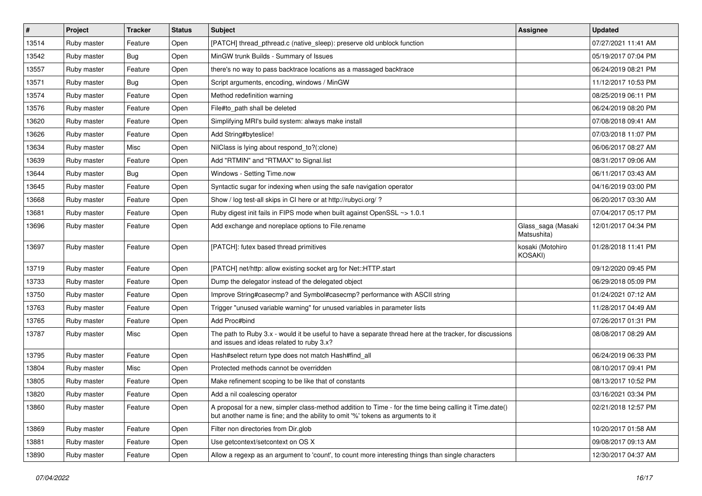| #     | Project     | <b>Tracker</b> | <b>Status</b> | Subject                                                                                                                                                                                    | <b>Assignee</b>                   | <b>Updated</b>      |
|-------|-------------|----------------|---------------|--------------------------------------------------------------------------------------------------------------------------------------------------------------------------------------------|-----------------------------------|---------------------|
| 13514 | Ruby master | Feature        | Open          | [PATCH] thread_pthread.c (native_sleep): preserve old unblock function                                                                                                                     |                                   | 07/27/2021 11:41 AM |
| 13542 | Ruby master | Bug            | Open          | MinGW trunk Builds - Summary of Issues                                                                                                                                                     |                                   | 05/19/2017 07:04 PM |
| 13557 | Ruby master | Feature        | Open          | there's no way to pass backtrace locations as a massaged backtrace                                                                                                                         |                                   | 06/24/2019 08:21 PM |
| 13571 | Ruby master | Bug            | Open          | Script arguments, encoding, windows / MinGW                                                                                                                                                |                                   | 11/12/2017 10:53 PM |
| 13574 | Ruby master | Feature        | Open          | Method redefinition warning                                                                                                                                                                |                                   | 08/25/2019 06:11 PM |
| 13576 | Ruby master | Feature        | Open          | File#to_path shall be deleted                                                                                                                                                              |                                   | 06/24/2019 08:20 PM |
| 13620 | Ruby master | Feature        | Open          | Simplifying MRI's build system: always make install                                                                                                                                        |                                   | 07/08/2018 09:41 AM |
| 13626 | Ruby master | Feature        | Open          | Add String#byteslice!                                                                                                                                                                      |                                   | 07/03/2018 11:07 PM |
| 13634 | Ruby master | Misc           | Open          | NilClass is lying about respond_to?(:clone)                                                                                                                                                |                                   | 06/06/2017 08:27 AM |
| 13639 | Ruby master | Feature        | Open          | Add "RTMIN" and "RTMAX" to Signal.list                                                                                                                                                     |                                   | 08/31/2017 09:06 AM |
| 13644 | Ruby master | Bug            | Open          | Windows - Setting Time.now                                                                                                                                                                 |                                   | 06/11/2017 03:43 AM |
| 13645 | Ruby master | Feature        | Open          | Syntactic sugar for indexing when using the safe navigation operator                                                                                                                       |                                   | 04/16/2019 03:00 PM |
| 13668 | Ruby master | Feature        | Open          | Show / log test-all skips in CI here or at http://rubyci.org/?                                                                                                                             |                                   | 06/20/2017 03:30 AM |
| 13681 | Ruby master | Feature        | Open          | Ruby digest init fails in FIPS mode when built against OpenSSL ~> 1.0.1                                                                                                                    |                                   | 07/04/2017 05:17 PM |
| 13696 | Ruby master | Feature        | Open          | Add exchange and noreplace options to File.rename                                                                                                                                          | Glass_saga (Masaki<br>Matsushita) | 12/01/2017 04:34 PM |
| 13697 | Ruby master | Feature        | Open          | [PATCH]: futex based thread primitives                                                                                                                                                     | kosaki (Motohiro<br>KOSAKI)       | 01/28/2018 11:41 PM |
| 13719 | Ruby master | Feature        | Open          | [PATCH] net/http: allow existing socket arg for Net::HTTP.start                                                                                                                            |                                   | 09/12/2020 09:45 PM |
| 13733 | Ruby master | Feature        | Open          | Dump the delegator instead of the delegated object                                                                                                                                         |                                   | 06/29/2018 05:09 PM |
| 13750 | Ruby master | Feature        | Open          | Improve String#casecmp? and Symbol#casecmp? performance with ASCII string                                                                                                                  |                                   | 01/24/2021 07:12 AM |
| 13763 | Ruby master | Feature        | Open          | Trigger "unused variable warning" for unused variables in parameter lists                                                                                                                  |                                   | 11/28/2017 04:49 AM |
| 13765 | Ruby master | Feature        | Open          | Add Proc#bind                                                                                                                                                                              |                                   | 07/26/2017 01:31 PM |
| 13787 | Ruby master | Misc           | Open          | The path to Ruby 3.x - would it be useful to have a separate thread here at the tracker, for discussions<br>and issues and ideas related to ruby 3.x?                                      |                                   | 08/08/2017 08:29 AM |
| 13795 | Ruby master | Feature        | Open          | Hash#select return type does not match Hash#find_all                                                                                                                                       |                                   | 06/24/2019 06:33 PM |
| 13804 | Ruby master | Misc           | Open          | Protected methods cannot be overridden                                                                                                                                                     |                                   | 08/10/2017 09:41 PM |
| 13805 | Ruby master | Feature        | Open          | Make refinement scoping to be like that of constants                                                                                                                                       |                                   | 08/13/2017 10:52 PM |
| 13820 | Ruby master | Feature        | Open          | Add a nil coalescing operator                                                                                                                                                              |                                   | 03/16/2021 03:34 PM |
| 13860 | Ruby master | Feature        | Open          | A proposal for a new, simpler class-method addition to Time - for the time being calling it Time.date()<br>but another name is fine; and the ability to omit '%' tokens as arguments to it |                                   | 02/21/2018 12:57 PM |
| 13869 | Ruby master | Feature        | Open          | Filter non directories from Dir.glob                                                                                                                                                       |                                   | 10/20/2017 01:58 AM |
| 13881 | Ruby master | Feature        | Open          | Use getcontext/setcontext on OS X                                                                                                                                                          |                                   | 09/08/2017 09:13 AM |
| 13890 | Ruby master | Feature        | Open          | Allow a regexp as an argument to 'count', to count more interesting things than single characters                                                                                          |                                   | 12/30/2017 04:37 AM |